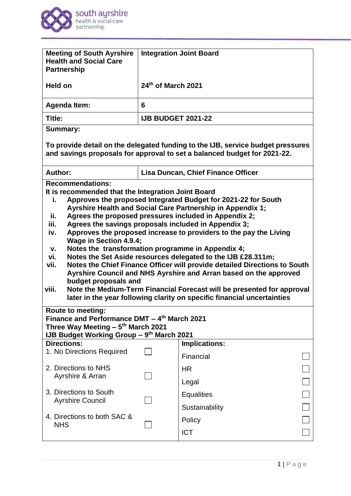

| <b>Meeting of South Ayrshire</b><br><b>Health and Social Care</b><br><b>Partnership</b>                                                                  |                                                                                                                                   | <b>Integration Joint Board</b>                                                                                                                              |  |  |  |
|----------------------------------------------------------------------------------------------------------------------------------------------------------|-----------------------------------------------------------------------------------------------------------------------------------|-------------------------------------------------------------------------------------------------------------------------------------------------------------|--|--|--|
| Held on                                                                                                                                                  | 24th of March 2021                                                                                                                |                                                                                                                                                             |  |  |  |
| <b>Agenda Item:</b>                                                                                                                                      | 6                                                                                                                                 |                                                                                                                                                             |  |  |  |
| Title:                                                                                                                                                   | <b>IJB BUDGET 2021-22</b>                                                                                                         |                                                                                                                                                             |  |  |  |
| <b>Summary:</b>                                                                                                                                          |                                                                                                                                   |                                                                                                                                                             |  |  |  |
|                                                                                                                                                          |                                                                                                                                   | To provide detail on the delegated funding to the IJB, service budget pressures<br>and savings proposals for approval to set a balanced budget for 2021-22. |  |  |  |
| Author:                                                                                                                                                  |                                                                                                                                   | Lisa Duncan, Chief Finance Officer                                                                                                                          |  |  |  |
| <b>Recommendations:</b>                                                                                                                                  |                                                                                                                                   |                                                                                                                                                             |  |  |  |
| It is recommended that the Integration Joint Board<br>i.                                                                                                 |                                                                                                                                   | Approves the proposed Integrated Budget for 2021-22 for South                                                                                               |  |  |  |
|                                                                                                                                                          |                                                                                                                                   | Ayrshire Health and Social Care Partnership in Appendix 1;                                                                                                  |  |  |  |
| ii.                                                                                                                                                      |                                                                                                                                   | Agrees the proposed pressures included in Appendix 2;                                                                                                       |  |  |  |
| iv.                                                                                                                                                      | Agrees the savings proposals included in Appendix 3;<br>iii.<br>Approves the proposed increase to providers to the pay the Living |                                                                                                                                                             |  |  |  |
|                                                                                                                                                          | <b>Wage in Section 4.9.4;</b>                                                                                                     |                                                                                                                                                             |  |  |  |
| v.                                                                                                                                                       | Notes the transformation programme in Appendix 4;                                                                                 |                                                                                                                                                             |  |  |  |
| Notes the Set Aside resources delegated to the IJB £28.311m;<br>vi.<br>Notes the Chief Finance Officer will provide detailed Directions to South<br>vii. |                                                                                                                                   |                                                                                                                                                             |  |  |  |
|                                                                                                                                                          |                                                                                                                                   | Ayrshire Council and NHS Ayrshire and Arran based on the approved                                                                                           |  |  |  |
| budget proposals and                                                                                                                                     |                                                                                                                                   |                                                                                                                                                             |  |  |  |
| viii.                                                                                                                                                    |                                                                                                                                   | Note the Medium-Term Financial Forecast will be presented for approval<br>later in the year following clarity on specific financial uncertainties           |  |  |  |
| Route to meeting:                                                                                                                                        |                                                                                                                                   |                                                                                                                                                             |  |  |  |
| Finance and Performance DMT - 4th March 2021                                                                                                             |                                                                                                                                   |                                                                                                                                                             |  |  |  |
| Three Way Meeting - 5 <sup>th</sup> March 2021<br>IJB Budget Working Group - 9th March 2021                                                              |                                                                                                                                   |                                                                                                                                                             |  |  |  |
| <b>Directions:</b>                                                                                                                                       |                                                                                                                                   | <b>Implications:</b>                                                                                                                                        |  |  |  |
| 1. No Directions Required                                                                                                                                | Financial                                                                                                                         |                                                                                                                                                             |  |  |  |
| 2. Directions to NHS                                                                                                                                     | <b>HR</b>                                                                                                                         |                                                                                                                                                             |  |  |  |
| Ayrshire & Arran                                                                                                                                         |                                                                                                                                   | Legal                                                                                                                                                       |  |  |  |
| 3. Directions to South                                                                                                                                   |                                                                                                                                   | <b>Equalities</b>                                                                                                                                           |  |  |  |
| <b>Ayrshire Council</b>                                                                                                                                  |                                                                                                                                   | Sustainability                                                                                                                                              |  |  |  |
| 4. Directions to both SAC &                                                                                                                              |                                                                                                                                   | Policy                                                                                                                                                      |  |  |  |
| <b>NHS</b>                                                                                                                                               |                                                                                                                                   |                                                                                                                                                             |  |  |  |
|                                                                                                                                                          |                                                                                                                                   | <b>ICT</b>                                                                                                                                                  |  |  |  |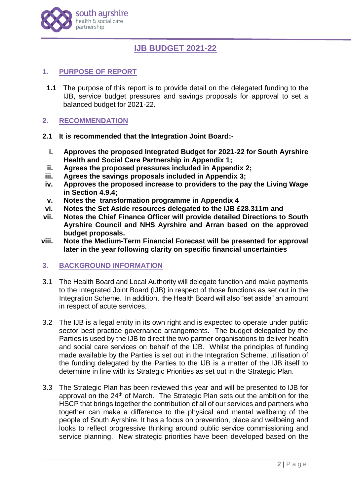

# **IJB BUDGET 2021-22**

# **1. PURPOSE OF REPORT**

**1.1** The purpose of this report is to provide detail on the delegated funding to the IJB, service budget pressures and savings proposals for approval to set a balanced budget for 2021-22.

## **2. RECOMMENDATION**

- **2.1 It is recommended that the Integration Joint Board:**
	- **i. Approves the proposed Integrated Budget for 2021-22 for South Ayrshire Health and Social Care Partnership in Appendix 1;**
- **ii. Agrees the proposed pressures included in Appendix 2;**
- **iii. Agrees the savings proposals included in Appendix 3;**
- **iv. Approves the proposed increase to providers to the pay the Living Wage in Section 4.9.4;**
- **v. Notes the transformation programme in Appendix 4**
- **vi. Notes the Set Aside resources delegated to the IJB £28.311m and**
- **vii. Notes the Chief Finance Officer will provide detailed Directions to South Ayrshire Council and NHS Ayrshire and Arran based on the approved budget proposals.**
- **viii. Note the Medium-Term Financial Forecast will be presented for approval later in the year following clarity on specific financial uncertainties**

## **3. BACKGROUND INFORMATION**

- 3.1 The Health Board and Local Authority will delegate function and make payments to the Integrated Joint Board (IJB) in respect of those functions as set out in the Integration Scheme. In addition, the Health Board will also "set aside" an amount in respect of acute services.
- 3.2 The IJB is a legal entity in its own right and is expected to operate under public sector best practice governance arrangements. The budget delegated by the Parties is used by the IJB to direct the two partner organisations to deliver health and social care services on behalf of the IJB. Whilst the principles of funding made available by the Parties is set out in the Integration Scheme, utilisation of the funding delegated by the Parties to the IJB is a matter of the IJB itself to determine in line with its Strategic Priorities as set out in the Strategic Plan.
- 3.3 The Strategic Plan has been reviewed this year and will be presented to IJB for approval on the 24<sup>th</sup> of March. The Strategic Plan sets out the ambition for the HSCP that brings together the contribution of all of our services and partners who together can make a difference to the physical and mental wellbeing of the people of South Ayrshire. It has a focus on prevention, place and wellbeing and looks to reflect progressive thinking around public service commissioning and service planning. New strategic priorities have been developed based on the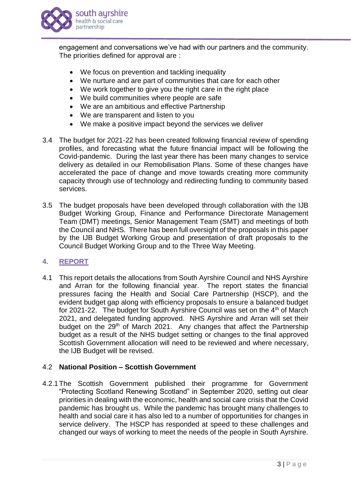

engagement and conversations we've had with our partners and the community. The priorities defined for approval are :

- We focus on prevention and tackling inequality
- We nurture and are part of communities that care for each other
- We work together to give you the right care in the right place
- We build communities where people are safe
- We are an ambitious and effective Partnership
- We are transparent and listen to you
- We make a positive impact beyond the services we deliver
- 3.4 The budget for 2021-22 has been created following financial review of spending profiles, and forecasting what the future financial impact will be following the Covid-pandemic. During the last year there has been many changes to service delivery as detailed in our Remobilisation Plans. Some of these changes have accelerated the pace of change and move towards creating more community capacity through use of technology and redirecting funding to community based services.
- 3.5 The budget proposals have been developed through collaboration with the IJB Budget Working Group, Finance and Performance Directorate Management Team (DMT) meetings, Senior Management Team (SMT) and meetings of both the Council and NHS. There has been full oversight of the proposals in this paper by the IJB Budget Working Group and presentation of draft proposals to the Council Budget Working Group and to the Three Way Meeting.

## **4. REPORT**

4.1 This report details the allocations from South Ayrshire Council and NHS Ayrshire and Arran for the following financial year. The report states the financial pressures facing the Health and Social Care Partnership (HSCP), and the evident budget gap along with efficiency proposals to ensure a balanced budget for 2021-22. The budget for South Ayrshire Council was set on the 4<sup>th</sup> of March 2021, and delegated funding approved. NHS Ayrshire and Arran will set their budget on the 29<sup>th</sup> of March 2021. Any changes that affect the Partnership budget as a result of the NHS budget setting or changes to the final approved Scottish Government allocation will need to be reviewed and where necessary, the IJB Budget will be revised.

## 4.2 **National Position – Scottish Government**

4.2.1The Scottish Government published their programme for Government "Protecting Scotland Renewing Scotland" in September 2020, setting out clear priorities in dealing with the economic, health and social care crisis that the Covid pandemic has brought us. While the pandemic has brought many challenges to health and social care it has also led to a number of opportunities for changes in service delivery. The HSCP has responded at speed to these challenges and changed our ways of working to meet the needs of the people in South Ayrshire.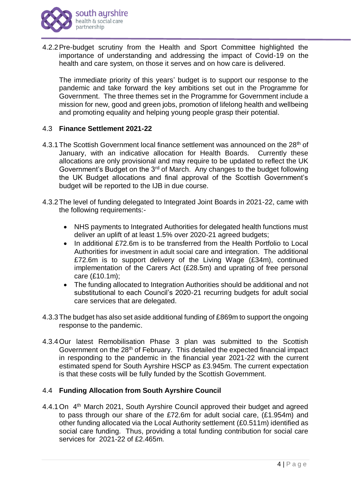

4.2.2Pre-budget scrutiny from the Health and Sport Committee highlighted the importance of understanding and addressing the impact of Covid-19 on the health and care system, on those it serves and on how care is delivered.

The immediate priority of this years' budget is to support our response to the pandemic and take forward the key ambitions set out in the Programme for Government. The three themes set in the Programme for Government include a mission for new, good and green jobs, promotion of lifelong health and wellbeing and promoting equality and helping young people grasp their potential.

## 4.3 **Finance Settlement 2021-22**

- 4.3.1 The Scottish Government local finance settlement was announced on the 28<sup>th</sup> of January, with an indicative allocation for Health Boards. Currently these allocations are only provisional and may require to be updated to reflect the UK Government's Budget on the 3<sup>rd</sup> of March. Any changes to the budget following the UK Budget allocations and final approval of the Scottish Government's budget will be reported to the IJB in due course.
- 4.3.2The level of funding delegated to Integrated Joint Boards in 2021-22, came with the following requirements:-
	- NHS payments to Integrated Authorities for delegated health functions must deliver an uplift of at least 1.5% over 2020-21 agreed budgets;
	- In additional £72.6m is to be transferred from the Health Portfolio to Local Authorities for investment in adult social care and integration. The additional £72.6m is to support delivery of the Living Wage (£34m), continued implementation of the Carers Act (£28.5m) and uprating of free personal care (£10.1m);
	- The funding allocated to Integration Authorities should be additional and not substitutional to each Council's 2020-21 recurring budgets for adult social care services that are delegated.
- 4.3.3The budget has also set aside additional funding of £869m to support the ongoing response to the pandemic.
- 4.3.4Our latest Remobilisation Phase 3 plan was submitted to the Scottish Government on the 28<sup>th</sup> of February. This detailed the expected financial impact in responding to the pandemic in the financial year 2021-22 with the current estimated spend for South Ayrshire HSCP as £3.945m. The current expectation is that these costs will be fully funded by the Scottish Government.

#### 4.4 **Funding Allocation from South Ayrshire Council**

4.4.1 On 4<sup>th</sup> March 2021, South Ayrshire Council approved their budget and agreed to pass through our share of the £72.6m for adult social care, (£1.954m) and other funding allocated via the Local Authority settlement (£0.511m) identified as social care funding. Thus, providing a total funding contribution for social care services for 2021-22 of £2.465m.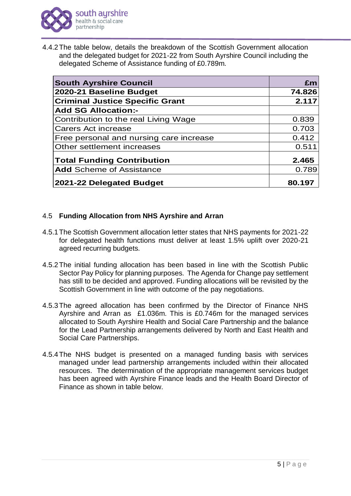

4.4.2The table below, details the breakdown of the Scottish Government allocation and the delegated budget for 2021-22 from South Ayrshire Council including the delegated Scheme of Assistance funding of £0.789m.

| <b>South Ayrshire Council</b>           | £m     |
|-----------------------------------------|--------|
| 2020-21 Baseline Budget                 | 74.826 |
| <b>Criminal Justice Specific Grant</b>  | 2.117  |
| <b>Add SG Allocation:-</b>              |        |
| Contribution to the real Living Wage    | 0.839  |
| Carers Act increase                     | 0.703  |
| Free personal and nursing care increase | 0.412  |
| Other settlement increases              | 0.511  |
| <b>Total Funding Contribution</b>       | 2.465  |
| <b>Add</b> Scheme of Assistance         | 0.789  |
| 2021-22 Delegated Budget                | 80.197 |

# 4.5 **Funding Allocation from NHS Ayrshire and Arran**

- 4.5.1The Scottish Government allocation letter states that NHS payments for 2021-22 for delegated health functions must deliver at least 1.5% uplift over 2020-21 agreed recurring budgets.
- 4.5.2The initial funding allocation has been based in line with the Scottish Public Sector Pay Policy for planning purposes. The Agenda for Change pay settlement has still to be decided and approved. Funding allocations will be revisited by the Scottish Government in line with outcome of the pay negotiations.
- 4.5.3The agreed allocation has been confirmed by the Director of Finance NHS Ayrshire and Arran as £1.036m. This is £0.746m for the managed services allocated to South Ayrshire Health and Social Care Partnership and the balance for the Lead Partnership arrangements delivered by North and East Health and Social Care Partnerships.
- 4.5.4The NHS budget is presented on a managed funding basis with services managed under lead partnership arrangements included within their allocated resources. The determination of the appropriate management services budget has been agreed with Ayrshire Finance leads and the Health Board Director of Finance as shown in table below.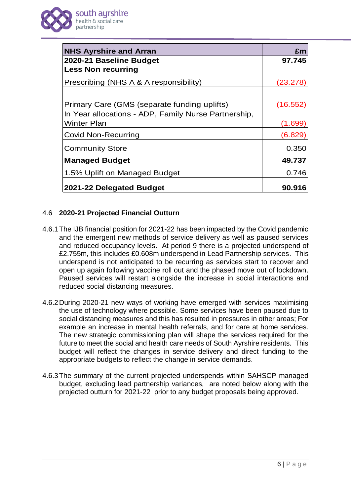

| <b>NHS Ayrshire and Arran</b>                        | £m       |
|------------------------------------------------------|----------|
| 2020-21 Baseline Budget                              | 97.745   |
| <b>Less Non recurring</b>                            |          |
| Prescribing (NHS A & A responsibility)               | (23.278  |
|                                                      |          |
| Primary Care (GMS (separate funding uplifts)         | (16.552) |
| In Year allocations - ADP, Family Nurse Partnership, |          |
| Winter Plan                                          | (1.699)  |
| <b>Covid Non-Recurring</b>                           | (6.829)  |
| <b>Community Store</b>                               | 0.350    |
| <b>Managed Budget</b>                                | 49.737   |
| 1.5% Uplift on Managed Budget                        | 0.746    |
| 2021-22 Delegated Budget                             | 90.916   |

# 4.6 **2020-21 Projected Financial Outturn**

- 4.6.1The IJB financial position for 2021-22 has been impacted by the Covid pandemic and the emergent new methods of service delivery as well as paused services and reduced occupancy levels. At period 9 there is a projected underspend of £2.755m, this includes £0.608m underspend in Lead Partnership services. This underspend is not anticipated to be recurring as services start to recover and open up again following vaccine roll out and the phased move out of lockdown. Paused services will restart alongside the increase in social interactions and reduced social distancing measures.
- 4.6.2During 2020-21 new ways of working have emerged with services maximising the use of technology where possible. Some services have been paused due to social distancing measures and this has resulted in pressures in other areas; For example an increase in mental health referrals, and for care at home services. The new strategic commissioning plan will shape the services required for the future to meet the social and health care needs of South Ayrshire residents. This budget will reflect the changes in service delivery and direct funding to the appropriate budgets to reflect the change in service demands.
- 4.6.3The summary of the current projected underspends within SAHSCP managed budget, excluding lead partnership variances, are noted below along with the projected outturn for 2021-22 prior to any budget proposals being approved.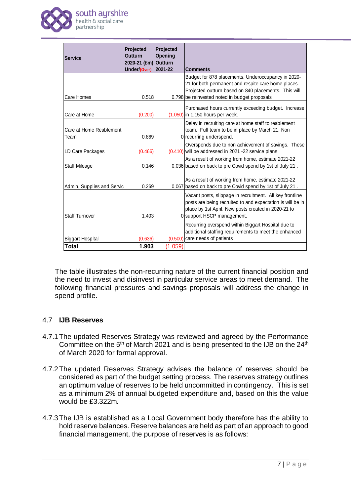

| <b>Service</b>                   | <b>Projected</b><br><b>Outturn</b>   | Projected<br>Opening |                                                                                                                                                                                                             |
|----------------------------------|--------------------------------------|----------------------|-------------------------------------------------------------------------------------------------------------------------------------------------------------------------------------------------------------|
|                                  | 2020-21 (£m) Outturn<br>Under/(Over) | 2021-22              | <b>Comments</b>                                                                                                                                                                                             |
|                                  |                                      |                      | Budget for 878 placements. Underoccupancy in 2020-<br>21 for both permanent and respite care home places.<br>Projected outturn based on 840 placements. This will                                           |
| <b>Care Homes</b>                | 0.518                                |                      | 0.798 be reinvested noted in budget proposals                                                                                                                                                               |
| Care at Home                     | (0.200)                              |                      | Purchased hours currently exceeding budget. Increase<br>$(1.050)$ in 1,150 hours per week.                                                                                                                  |
| Care at Home Reablement<br>Team  | 0.869                                |                      | Delay in recruiting care at home staff to reablement<br>team. Full team to be in place by March 21. Non<br>0 recurring underspend.                                                                          |
| LD Care Packages                 | (0.466)                              |                      | Overspends due to non achievement of savings. These<br>$(0.410)$ will be addressed in 2021 -22 service plans                                                                                                |
| <b>Staff Mileage</b>             | 0.146                                |                      | As a result of working from home, estimate 2021-22<br>0.036 based on back to pre Covid spend by 1st of July 21.                                                                                             |
| Admin, Supplies and Servic       | 0.269                                |                      | As a result of working from home, estimate 2021-22<br>0.067 based on back to pre Covid spend by 1st of July 21.                                                                                             |
| <b>Staff Turnover</b>            | 1.403                                |                      | Vacant posts, slippage in recruitment. All key frontline<br>posts are being recruited to and expectation is will be in<br>place by 1st April. New posts created in 2020-21 to<br>0 support HSCP management. |
|                                  |                                      |                      | Recurring overspend within Biggart Hospital due to<br>additional staffing requirements to meet the enhanced                                                                                                 |
| <b>Biggart Hospital</b><br>Total | (0.636)<br>1.903                     | (1.059)              | $(0.500)$ care needs of patients                                                                                                                                                                            |

The table illustrates the non-recurring nature of the current financial position and the need to invest and disinvest in particular service areas to meet demand. The following financial pressures and savings proposals will address the change in spend profile.

## 4.7 **IJB Reserves**

- 4.7.1The updated Reserves Strategy was reviewed and agreed by the Performance Committee on the  $5<sup>th</sup>$  of March 2021 and is being presented to the IJB on the  $24<sup>th</sup>$ of March 2020 for formal approval.
- 4.7.2The updated Reserves Strategy advises the balance of reserves should be considered as part of the budget setting process. The reserves strategy outlines an optimum value of reserves to be held uncommitted in contingency. This is set as a minimum 2% of annual budgeted expenditure and, based on this the value would be £3.322m.
- 4.7.3The IJB is established as a Local Government body therefore has the ability to hold reserve balances. Reserve balances are held as part of an approach to good financial management, the purpose of reserves is as follows: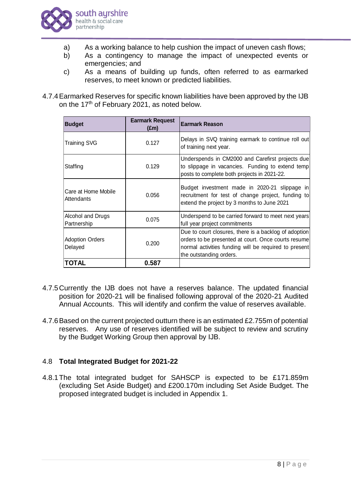

- a) As a working balance to help cushion the impact of uneven cash flows;
- b) As a contingency to manage the impact of unexpected events or emergencies; and
- c) As a means of building up funds, often referred to as earmarked reserves, to meet known or predicted liabilities.
- 4.7.4Earmarked Reserves for specific known liabilities have been approved by the IJB on the 17<sup>th</sup> of February 2021, as noted below.

| <b>Budget</b>                     | <b>Earmark Request</b><br>(£m) | Earmark Reason                                                                                                                                                                                   |
|-----------------------------------|--------------------------------|--------------------------------------------------------------------------------------------------------------------------------------------------------------------------------------------------|
| <b>Training SVG</b>               | 0.127                          | Delays in SVQ training earmark to continue roll out<br>of training next year.                                                                                                                    |
| Staffing                          | 0.129                          | Underspends in CM2000 and Carefirst projects due<br>to slippage in vacancies. Funding to extend temp<br>posts to complete both projects in 2021-22.                                              |
| Care at Home Mobile<br>Attendants | 0.056                          | Budget investment made in 2020-21 slippage in<br>recruitment for test of change project, funding to<br>extend the project by 3 months to June 2021                                               |
| Alcohol and Drugs<br>Partnership  | 0.075                          | Underspend to be carried forward to meet next years<br>full year project commitments                                                                                                             |
| <b>Adoption Orders</b><br>Delayed | 0.200                          | Due to court closures, there is a backlog of adoption<br>orders to be presented at court. Once courts resume<br>normal activities funding will be required to present<br>the outstanding orders. |
| <b>TOTAL</b>                      | 0.587                          |                                                                                                                                                                                                  |

- 4.7.5Currently the IJB does not have a reserves balance. The updated financial position for 2020-21 will be finalised following approval of the 2020-21 Audited Annual Accounts. This will identify and confirm the value of reserves available.
- 4.7.6Based on the current projected outturn there is an estimated £2.755m of potential reserves. Any use of reserves identified will be subject to review and scrutiny by the Budget Working Group then approval by IJB.

# 4.8 **Total Integrated Budget for 2021-22**

4.8.1The total integrated budget for SAHSCP is expected to be £171.859m (excluding Set Aside Budget) and £200.170m including Set Aside Budget. The proposed integrated budget is included in Appendix 1.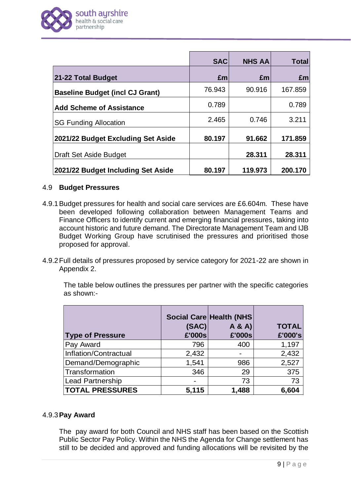

|                                        | <b>SAC</b> | <b>NHS AA</b> | <b>Total</b> |
|----------------------------------------|------------|---------------|--------------|
| 21-22 Total Budget                     | Em         | £m            | £m           |
| <b>Baseline Budget (incl CJ Grant)</b> | 76.943     | 90.916        | 167.859      |
| <b>Add Scheme of Assistance</b>        | 0.789      |               | 0.789        |
| <b>SG Funding Allocation</b>           | 2.465      | 0.746         | 3.211        |
| 2021/22 Budget Excluding Set Aside     | 80.197     | 91.662        | 171.859      |
| Draft Set Aside Budget                 |            | 28.311        | 28.311       |
| 2021/22 Budget Including Set Aside     | 80.197     | 119.973       | 200.170      |

#### 4.9 **Budget Pressures**

- 4.9.1Budget pressures for health and social care services are £6.604m. These have been developed following collaboration between Management Teams and Finance Officers to identify current and emerging financial pressures, taking into account historic and future demand. The Directorate Management Team and IJB Budget Working Group have scrutinised the pressures and prioritised those proposed for approval.
- 4.9.2Full details of pressures proposed by service category for 2021-22 are shown in Appendix 2.

The table below outlines the pressures per partner with the specific categories as shown:-

|                         |        | <b>Social Care Health (NHS)</b> |              |
|-------------------------|--------|---------------------------------|--------------|
|                         | (SAC)  | A & A                           | <b>TOTAL</b> |
| <b>Type of Pressure</b> | £'000s | £'000s                          | £'000's      |
| <b>Pay Award</b>        | 796    | 400                             | 1,197        |
| Inflation/Contractual   | 2,432  |                                 | 2,432        |
| Demand/Demographic      | 1,541  | 986                             | 2,527        |
| Transformation          | 346    | 29                              | 375          |
| Lead Partnership        |        | 73                              | 73           |
| <b>TOTAL PRESSURES</b>  | 5,115  | 1,488                           | 6,604        |

## 4.9.3**Pay Award**

The pay award for both Council and NHS staff has been based on the Scottish Public Sector Pay Policy. Within the NHS the Agenda for Change settlement has still to be decided and approved and funding allocations will be revisited by the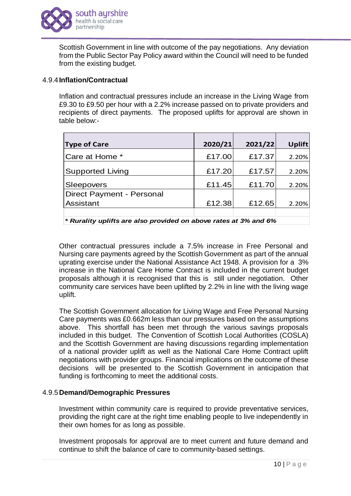

Scottish Government in line with outcome of the pay negotiations. Any deviation from the Public Sector Pay Policy award within the Council will need to be funded from the existing budget.

#### 4.9.4**Inflation/Contractual**

Inflation and contractual pressures include an increase in the Living Wage from £9.30 to £9.50 per hour with a 2.2% increase passed on to private providers and recipients of direct payments. The proposed uplifts for approval are shown in table below:-

| <b>Type of Care</b>       | 2020/21 | 2021/22 | <b>Uplift</b> |
|---------------------------|---------|---------|---------------|
| Care at Home *            | £17.00  | £17.37  | 2.20%         |
| <b>Supported Living</b>   | £17.20  | £17.57  | 2.20%         |
| Sleepovers                | £11.45  | £11.70  | 2.20%         |
| Direct Payment - Personal |         |         |               |
| Assistant                 | £12.38  | £12.65  | 2.20%         |
|                           |         |         |               |

*\* Rurality uplifts are also provided on above rates at 3% and 6%* 

Other contractual pressures include a 7.5% increase in Free Personal and Nursing care payments agreed by the Scottish Government as part of the annual uprating exercise under the National Assistance Act 1948. A provision for a 3% increase in the National Care Home Contract is included in the current budget proposals although it is recognised that this is still under negotiation. Other community care services have been uplifted by 2.2% in line with the living wage uplift.

The Scottish Government allocation for Living Wage and Free Personal Nursing Care payments was £0.662m less than our pressures based on the assumptions above. This shortfall has been met through the various savings proposals included in this budget. The Convention of Scottish Local Authorities (COSLA) and the Scottish Government are having discussions regarding implementation of a national provider uplift as well as the National Care Home Contract uplift negotiations with provider groups. Financial implications on the outcome of these decisions will be presented to the Scottish Government in anticipation that funding is forthcoming to meet the additional costs.

#### 4.9.5**Demand/Demographic Pressures**

Investment within community care is required to provide preventative services, providing the right care at the right time enabling people to live independently in their own homes for as long as possible.

Investment proposals for approval are to meet current and future demand and continue to shift the balance of care to community-based settings.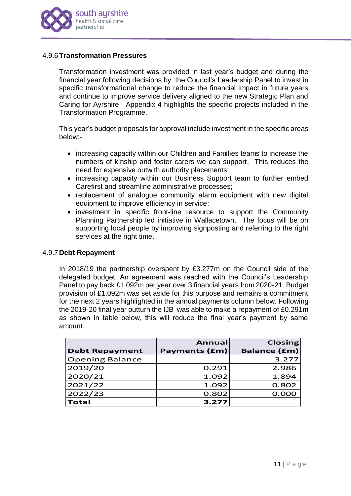

## 4.9.6**Transformation Pressures**

Transformation investment was provided in last year's budget and during the financial year following decisions by the Council's Leadership Panel to invest in specific transformational change to reduce the financial impact in future years and continue to improve service delivery aligned to the new Strategic Plan and Caring for Ayrshire. Appendix 4 highlights the specific projects included in the Transformation Programme.

This year's budget proposals for approval include investment in the specific areas below:-

- increasing capacity within our Children and Families teams to increase the numbers of kinship and foster carers we can support. This reduces the need for expensive outwith authority placements;
- increasing capacity within our Business Support team to further embed Carefirst and streamline administrative processes;
- replacement of analogue community alarm equipment with new digital equipment to improve efficiency in service;
- investment in specific front-line resource to support the Community Planning Partnership led initiative in Wallacetown. The focus will be on supporting local people by improving signposting and referring to the right services at the right time.

#### 4.9.7**Debt Repayment**

In 2018/19 the partnership overspent by £3.277m on the Council side of the delegated budget. An agreement was reached with the Council's Leadership Panel to pay back £1.092m per year over 3 financial years from 2020-21. Budget provision of £1.092m was set aside for this purpose and remains a commitment for the next 2 years highlighted in the annual payments column below. Following the 2019-20 final year outturn the IJB was able to make a repayment of £0.291m as shown in table below, this will reduce the final year's payment by same amount.

| <b>Debt Repayment</b>  | <b>Annual</b><br><b>Payments (£m)</b> | <b>Closing</b><br><b>Balance (£m)</b> |
|------------------------|---------------------------------------|---------------------------------------|
| <b>Opening Balance</b> |                                       | 3.277                                 |
| 2019/20                | 0.291                                 | 2.986                                 |
| 2020/21                | 1.092                                 | 1.894                                 |
| 2021/22                | 1.092                                 | 0.802                                 |
| 2022/23                | 0.802                                 | 0.000                                 |
| <b>Total</b>           | 3.277                                 |                                       |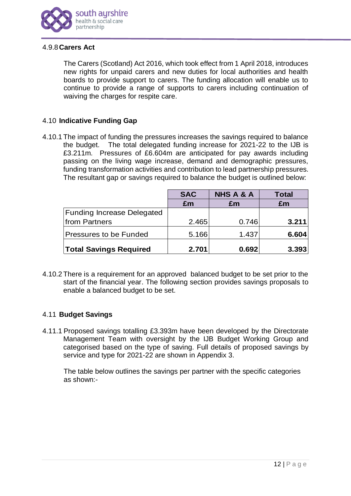

## 4.9.8**Carers Act**

The Carers (Scotland) Act 2016, which took effect from 1 April 2018, introduces new rights for unpaid carers and new duties for local authorities and health boards to provide support to carers. The funding allocation will enable us to continue to provide a range of supports to carers including continuation of waiving the charges for respite care.

# 4.10 **Indicative Funding Gap**

4.10.1 The impact of funding the pressures increases the savings required to balance the budget. The total delegated funding increase for 2021-22 to the IJB is £3.211m. Pressures of £6.604m are anticipated for pay awards including passing on the living wage increase, demand and demographic pressures, funding transformation activities and contribution to lead partnership pressures. The resultant gap or savings required to balance the budget is outlined below:

|                                   | <b>SAC</b> | <b>NHS A &amp; A</b> | Total |
|-----------------------------------|------------|----------------------|-------|
|                                   | £m         | £m                   | £m    |
| <b>Funding Increase Delegated</b> |            |                      |       |
| from Partners                     | 2.465      | 0.746                | 3.211 |
| Pressures to be Funded            | 5.166      | 1.437                | 6.604 |
| <b>Total Savings Required</b>     | 2.701      | 0.692                | 3.393 |

4.10.2 There is a requirement for an approved balanced budget to be set prior to the start of the financial year. The following section provides savings proposals to enable a balanced budget to be set.

## 4.11 **Budget Savings**

4.11.1 Proposed savings totalling £3.393m have been developed by the Directorate Management Team with oversight by the IJB Budget Working Group and categorised based on the type of saving. Full details of proposed savings by service and type for 2021-22 are shown in Appendix 3.

The table below outlines the savings per partner with the specific categories as shown:-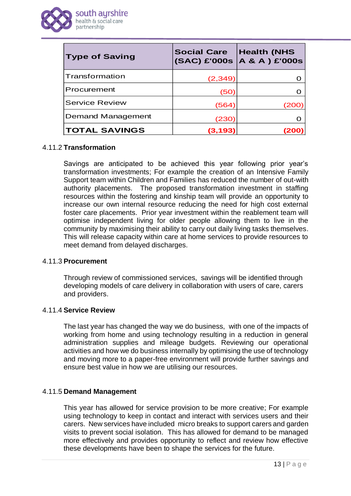

| <b>Type of Saving</b> | <b>Social Care</b> | <b>Health (NHS</b><br>$(SAC)$ £'000s $ A \& A$ $ E'000s$ |
|-----------------------|--------------------|----------------------------------------------------------|
| Transformation        | (2, 349)           |                                                          |
| Procurement           | (50)               |                                                          |
| <b>Service Review</b> | (564)              | <u>(200</u>                                              |
| Demand Management     | (230)              |                                                          |
| <b>TOTAL SAVINGS</b>  | (3, 193)           |                                                          |

#### 4.11.2 **Transformation**

Savings are anticipated to be achieved this year following prior year's transformation investments; For example the creation of an Intensive Family Support team within Children and Families has reduced the number of out-with authority placements. The proposed transformation investment in staffing resources within the fostering and kinship team will provide an opportunity to increase our own internal resource reducing the need for high cost external foster care placements. Prior year investment within the reablement team will optimise independent living for older people allowing them to live in the community by maximising their ability to carry out daily living tasks themselves. This will release capacity within care at home services to provide resources to meet demand from delayed discharges.

#### 4.11.3 **Procurement**

Through review of commissioned services, savings will be identified through developing models of care delivery in collaboration with users of care, carers and providers.

#### 4.11.4 **Service Review**

The last year has changed the way we do business, with one of the impacts of working from home and using technology resulting in a reduction in general administration supplies and mileage budgets. Reviewing our operational activities and how we do business internally by optimising the use of technology and moving more to a paper-free environment will provide further savings and ensure best value in how we are utilising our resources.

## 4.11.5 **Demand Management**

This year has allowed for service provision to be more creative; For example using technology to keep in contact and interact with services users and their carers. New services have included micro breaks to support carers and garden visits to prevent social isolation. This has allowed for demand to be managed more effectively and provides opportunity to reflect and review how effective these developments have been to shape the services for the future.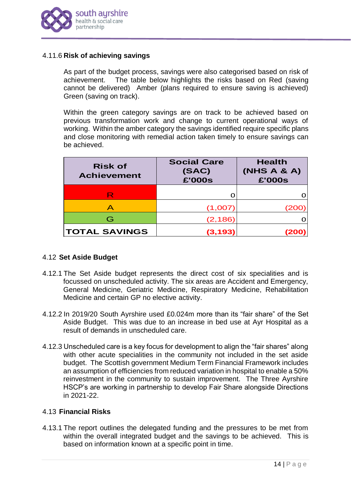

#### 4.11.6 **Risk of achieving savings**

As part of the budget process, savings were also categorised based on risk of achievement. The table below highlights the risks based on Red (saving cannot be delivered) Amber (plans required to ensure saving is achieved) Green (saving on track).

Within the green category savings are on track to be achieved based on previous transformation work and change to current operational ways of working. Within the amber category the savings identified require specific plans and close monitoring with remedial action taken timely to ensure savings can be achieved.

| <b>Risk of</b><br><b>Achievement</b> | <b>Social Care</b><br>(SAC)<br>£'000s | <b>Health</b><br>(NHS A & A)<br>£'000s |
|--------------------------------------|---------------------------------------|----------------------------------------|
| $\mathsf k$                          |                                       |                                        |
| Α                                    | (1,007)                               |                                        |
| G                                    | (2, 186)                              |                                        |
| <b>TOTAL SAVINGS</b>                 | (3, 193)                              |                                        |

## 4.12 **Set Aside Budget**

- 4.12.1 The Set Aside budget represents the direct cost of six specialities and is focussed on unscheduled activity. The six areas are Accident and Emergency, General Medicine, Geriatric Medicine, Respiratory Medicine, Rehabilitation Medicine and certain GP no elective activity.
- 4.12.2 In 2019/20 South Ayrshire used £0.024m more than its "fair share" of the Set Aside Budget. This was due to an increase in bed use at Ayr Hospital as a result of demands in unscheduled care.
- 4.12.3 Unscheduled care is a key focus for development to align the "fair shares" along with other acute specialities in the community not included in the set aside budget. The Scottish government Medium Term Financial Framework includes an assumption of efficiencies from reduced variation in hospital to enable a 50% reinvestment in the community to sustain improvement. The Three Ayrshire HSCP's are working in partnership to develop Fair Share alongside Directions in 2021-22.

## 4.13 **Financial Risks**

4.13.1 The report outlines the delegated funding and the pressures to be met from within the overall integrated budget and the savings to be achieved. This is based on information known at a specific point in time.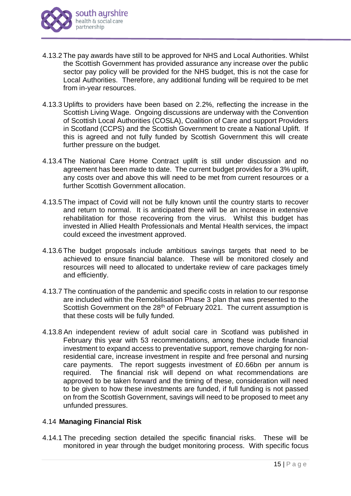

- 4.13.2 The pay awards have still to be approved for NHS and Local Authorities. Whilst the Scottish Government has provided assurance any increase over the public sector pay policy will be provided for the NHS budget, this is not the case for Local Authorities. Therefore, any additional funding will be required to be met from in-year resources.
- 4.13.3 Uplifts to providers have been based on 2.2%, reflecting the increase in the Scottish Living Wage. Ongoing discussions are underway with the Convention of Scottish Local Authorities (COSLA), Coalition of Care and support Providers in Scotland (CCPS) and the Scottish Government to create a National Uplift. If this is agreed and not fully funded by Scottish Government this will create further pressure on the budget.
- 4.13.4 The National Care Home Contract uplift is still under discussion and no agreement has been made to date. The current budget provides for a 3% uplift, any costs over and above this will need to be met from current resources or a further Scottish Government allocation.
- 4.13.5 The impact of Covid will not be fully known until the country starts to recover and return to normal. It is anticipated there will be an increase in extensive rehabilitation for those recovering from the virus. Whilst this budget has invested in Allied Health Professionals and Mental Health services, the impact could exceed the investment approved.
- 4.13.6 The budget proposals include ambitious savings targets that need to be achieved to ensure financial balance. These will be monitored closely and resources will need to allocated to undertake review of care packages timely and efficiently.
- 4.13.7 The continuation of the pandemic and specific costs in relation to our response are included within the Remobilisation Phase 3 plan that was presented to the Scottish Government on the 28<sup>th</sup> of February 2021. The current assumption is that these costs will be fully funded.
- 4.13.8 An independent review of adult social care in Scotland was published in February this year with 53 recommendations, among these include financial investment to expand access to preventative support, remove charging for nonresidential care, increase investment in respite and free personal and nursing care payments. The report suggests investment of £0.66bn per annum is required. The financial risk will depend on what recommendations are approved to be taken forward and the timing of these, consideration will need to be given to how these investments are funded, if full funding is not passed on from the Scottish Government, savings will need to be proposed to meet any unfunded pressures.

## 4.14 **Managing Financial Risk**

4.14.1 The preceding section detailed the specific financial risks. These will be monitored in year through the budget monitoring process. With specific focus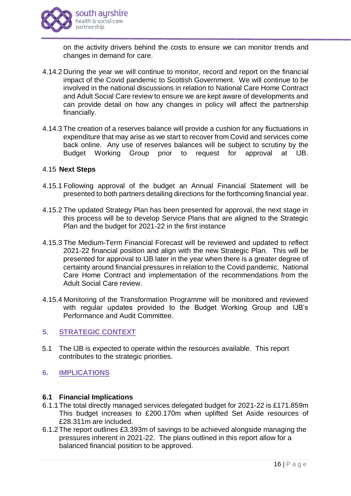

on the activity drivers behind the costs to ensure we can monitor trends and changes in demand for care.

- 4.14.2 During the year we will continue to monitor, record and report on the financial impact of the Covid pandemic to Scottish Government. We will continue to be involved in the national discussions in relation to National Care Home Contract and Adult Social Care review to ensure we are kept aware of developments and can provide detail on how any changes in policy will affect the partnership financially.
- 4.14.3 The creation of a reserves balance will provide a cushion for any fluctuations in expenditure that may arise as we start to recover from Covid and services come back online. Any use of reserves balances will be subject to scrutiny by the Budget Working Group prior to request for approval at IJB.

#### 4.15 **Next Steps**

- 4.15.1 Following approval of the budget an Annual Financial Statement will be presented to both partners detailing directions for the forthcoming financial year.
- 4.15.2 The updated Strategy Plan has been presented for approval, the next stage in this process will be to develop Service Plans that are aligned to the Strategic Plan and the budget for 2021-22 in the first instance
- 4.15.3 The Medium-Term Financial Forecast will be reviewed and updated to reflect 2021-22 financial position and align with the new Strategic Plan. This will be presented for approval to IJB later in the year when there is a greater degree of certainty around financial pressures in relation to the Covid pandemic, National Care Home Contract and implementation of the recommendations from the Adult Social Care review.
- 4.15.4 Monitoring of the Transformation Programme will be monitored and reviewed with regular updates provided to the Budget Working Group and IJB's Performance and Audit Committee.

#### **5. STRATEGIC CONTEXT**

- 5.1 The IJB is expected to operate within the resources available. This report contributes to the strategic priorities.
- **6. IMPLICATIONS**

#### **6.1 Financial Implications**

- 6.1.1The total directly managed services delegated budget for 2021-22 is £171.859m This budget increases to £200.170m when uplifted Set Aside resources of £28.311m are included.
- 6.1.2The report outlines £3.393m of savings to be achieved alongside managing the pressures inherent in 2021-22. The plans outlined in this report allow for a balanced financial position to be approved.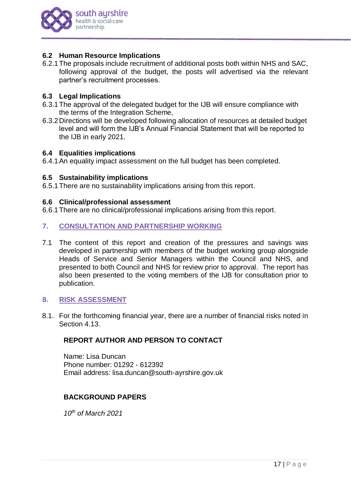

## **6.2 Human Resource Implications**

6.2.1The proposals include recruitment of additional posts both within NHS and SAC, following approval of the budget, the posts will advertised via the relevant partner's recruitment processes.

#### **6.3 Legal Implications**

- 6.3.1The approval of the delegated budget for the IJB will ensure compliance with the terms of the Integration Scheme,
- 6.3.2Directions will be developed following allocation of resources at detailed budget level and will form the IJB's Annual Financial Statement that will be reported to the IJB in early 2021.

#### **6.4 Equalities implications**

6.4.1An equality impact assessment on the full budget has been completed.

#### **6.5 Sustainability implications**

6.5.1There are no sustainability implications arising from this report.

#### **6.6 Clinical/professional assessment**

6.6.1There are no clinical/professional implications arising from this report.

#### **7. CONSULTATION AND PARTNERSHIP WORKING**

7.1 The content of this report and creation of the pressures and savings was developed in partnership with members of the budget working group alongside Heads of Service and Senior Managers within the Council and NHS, and presented to both Council and NHS for review prior to approval. The report has also been presented to the voting members of the IJB for consultation prior to publication.

# **8. RISK ASSESSMENT**

8.1. For the forthcoming financial year, there are a number of financial risks noted in Section 4.13.

## **REPORT AUTHOR AND PERSON TO CONTACT**

Name: Lisa Duncan Phone number: 01292 - 612392 Email address: lisa.duncan@south-ayrshire.gov.uk

## **BACKGROUND PAPERS**

*10th of March 2021*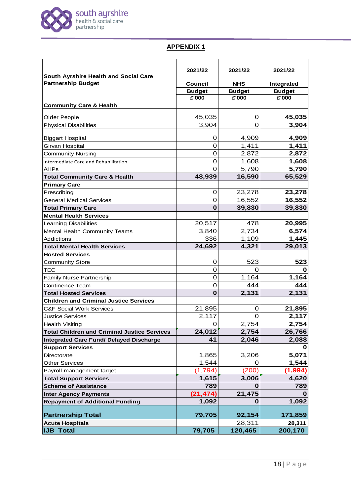

# **APPENDIX 1**

|                                                                    | 2021/22        | 2021/22        | 2021/22       |
|--------------------------------------------------------------------|----------------|----------------|---------------|
| South Ayrshire Health and Social Care<br><b>Partnership Budget</b> | <b>Council</b> | <b>NHS</b>     | Integrated    |
|                                                                    | <b>Budget</b>  | <b>Budget</b>  | <b>Budget</b> |
|                                                                    | £'000          | £'000          | £'000         |
| <b>Community Care &amp; Health</b>                                 |                |                |               |
| Older People                                                       | 45,035         | 0              | 45,035        |
| <b>Physical Disabilities</b>                                       | 3,904          | $\overline{0}$ | 3,904         |
| <b>Biggart Hospital</b>                                            | 0              | 4,909          | 4,909         |
| Girvan Hospital                                                    | $\mathbf 0$    | 1,411          | 1,411         |
| <b>Community Nursing</b>                                           | $\mathbf 0$    | 2,872          | 2,872         |
| Intermediate Care and Rehabilitation                               | $\mathbf 0$    | 1,608          | 1,608         |
| <b>AHPs</b>                                                        | $\Omega$       | 5,790          | 5,790         |
| <b>Total Community Care &amp; Health</b>                           | 48,939         | 16,590         | 65,529        |
| <b>Primary Care</b>                                                |                |                |               |
| Prescribing                                                        | 0              | 23,278         | 23,278        |
| <b>General Medical Services</b>                                    | 0              | 16,552         | 16,552        |
| <b>Total Primary Care</b>                                          | $\mathbf 0$    | 39,830         | 39,830        |
| <b>Mental Health Services</b>                                      |                |                |               |
| <b>Learning Disabilities</b>                                       | 20,517         | 478            | 20,995        |
| Mental Health Community Teams                                      | 3,840          | 2,734          | 6,574         |
| <b>Addictions</b>                                                  | 336            | 1,109          | 1,445         |
| <b>Total Mental Health Services</b>                                | 24,692         | 4,321          | 29,013        |
| <b>Hosted Services</b>                                             |                |                |               |
| <b>Community Store</b>                                             | $\mathbf 0$    | 523            | 523           |
| <b>TEC</b>                                                         | $\mathbf 0$    |                |               |
| <b>Family Nurse Partnership</b>                                    | $\overline{0}$ | 1,164          | 1,164         |
| <b>Continence Team</b>                                             | 0              | 444            | 444           |
| <b>Total Hosted Services</b>                                       | $\bf{0}$       | 2,131          | 2,131         |
| <b>Children and Criminal Justice Services</b>                      |                |                |               |
| <b>C&amp;F Social Work Services</b>                                | 21,895         | 0              | 21,895        |
| <b>Justice Services</b>                                            | 2,117          | 0              | 2,117         |
| <b>Health Visiting</b>                                             | 0              | 2,754          | 2,754         |
| <b>Total Children and Criminal Justice Services</b>                | 24,012         | 2,754          | 26,766        |
| <b>Integrated Care Fund/ Delayed Discharge</b>                     | 41             | 2,046          | 2,088         |
| <b>Support Services</b>                                            |                |                | U             |
| Directorate                                                        | 1,865          | 3,206          | 5,071         |
| <b>Other Services</b>                                              | 1,544          | 0              | 1,544         |
| Payroll management target                                          | (1,794)        | (200)          | (1,994)       |
| <b>Total Support Services</b>                                      | 1,615          | 3,006          | 4,620         |
| <b>Scheme of Assistance</b>                                        | 789            |                | 789           |
| <b>Inter Agency Payments</b>                                       | (21, 474)      | 21,475         |               |
| <b>Repayment of Additional Funding</b>                             | 1,092          | 0              | 1,092         |
| <b>Partnership Total</b>                                           | 79,705         | 92,154         | 171,859       |
| <b>Acute Hospitals</b>                                             |                | 28,311         | 28,311        |
| <b>IJB Total</b>                                                   | 79,705         | 120,465        | 200,170       |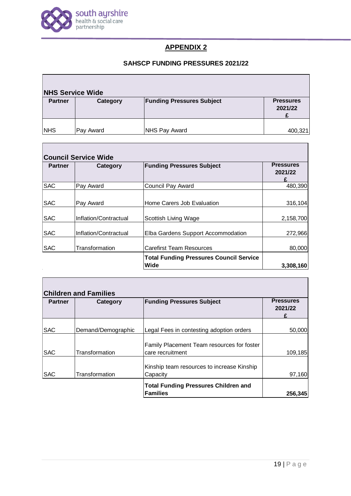

 $\overline{\phantom{a}}$ 

 $\mathsf{r}$ 

# **APPENDIX 2**

# **SAHSCP FUNDING PRESSURES 2021/22**

| <b>NHS Service Wide</b> |           |                                  |                             |  |  |  |
|-------------------------|-----------|----------------------------------|-----------------------------|--|--|--|
| <b>Partner</b>          | Category  | <b>Funding Pressures Subject</b> | <b>Pressures</b><br>2021/22 |  |  |  |
| <b>INHS</b>             | Pay Award | <b>NHS Pay Award</b>             | 400,321                     |  |  |  |

| <b>Partner</b> | Category              | <b>Funding Pressures Subject</b>                       | <b>Pressures</b><br>2021/22 |
|----------------|-----------------------|--------------------------------------------------------|-----------------------------|
| <b>SAC</b>     | Pay Award             | Council Pay Award                                      | 480,390                     |
| <b>SAC</b>     | Pay Award             | Home Carers Job Evaluation                             | 316,104                     |
| <b>SAC</b>     | Inflation/Contractual | Scottish Living Wage                                   | 2,158,700                   |
| <b>SAC</b>     | Inflation/Contractual | Elba Gardens Support Accommodation                     | 272,966                     |
| <b>SAC</b>     | Transformation        | <b>Carefirst Team Resources</b>                        | 80,000                      |
|                |                       | <b>Total Funding Pressures Council Service</b><br>Wide | 3,308,160                   |

| <b>Partner</b> | Category           | <b>Funding Pressures Subject</b>                               | <b>Pressures</b><br>2021/22 |
|----------------|--------------------|----------------------------------------------------------------|-----------------------------|
| <b>SAC</b>     | Demand/Demographic | Legal Fees in contesting adoption orders                       | 50,000                      |
| <b>SAC</b>     | Transformation     | Family Placement Team resources for foster<br>care recruitment | 109,185                     |
| <b>SAC</b>     | Transformation     | Kinship team resources to increase Kinship<br>Capacity         | 97,160                      |
|                |                    | <b>Total Funding Pressures Children and</b><br><b>Families</b> | 256,345                     |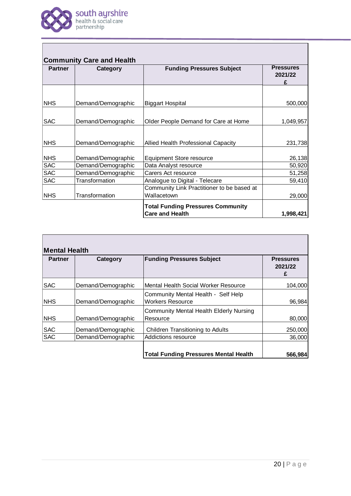

| <b>Partner</b> | Category           | <b>Funding Pressures Subject</b>                                   | <b>Pressures</b><br>2021/22 |
|----------------|--------------------|--------------------------------------------------------------------|-----------------------------|
|                |                    |                                                                    |                             |
| <b>NHS</b>     | Demand/Demographic | <b>Biggart Hospital</b>                                            | 500,000                     |
| <b>SAC</b>     | Demand/Demographic | Older People Demand for Care at Home                               | 1,049,957                   |
| <b>NHS</b>     | Demand/Demographic | Allied Health Professional Capacity                                | 231,738                     |
| <b>NHS</b>     | Demand/Demographic | <b>Equipment Store resource</b>                                    | 26,138                      |
| <b>SAC</b>     | Demand/Demographic | Data Analyst resource                                              | 50,920                      |
| <b>SAC</b>     | Demand/Demographic | Carers Act resource                                                | 51,258                      |
| <b>SAC</b>     | Transformation     | Analogue to Digital - Telecare                                     | 59,410                      |
|                |                    | Community Link Practitioner to be based at                         |                             |
| <b>NHS</b>     | Transformation     | Wallacetown                                                        | 29,000                      |
|                |                    | <b>Total Funding Pressures Community</b><br><b>Care and Health</b> | 1,998,421                   |

| <b>Partner</b> | Category           | <b>Funding Pressures Subject</b>                               | <b>Pressures</b><br>2021/22<br>£ |
|----------------|--------------------|----------------------------------------------------------------|----------------------------------|
| <b>SAC</b>     | Demand/Demographic | Mental Health Social Worker Resource                           | 104,000                          |
| <b>NHS</b>     | Demand/Demographic | Community Mental Health - Self Help<br><b>Workers Resource</b> | 96,984                           |
| <b>NHS</b>     | Demand/Demographic | <b>Community Mental Health Elderly Nursing</b><br>Resource     | 80,000                           |
| <b>SAC</b>     | Demand/Demographic | Children Transitioning to Adults                               | 250,000                          |
| <b>SAC</b>     | Demand/Demographic | Addictions resource                                            | 36,000                           |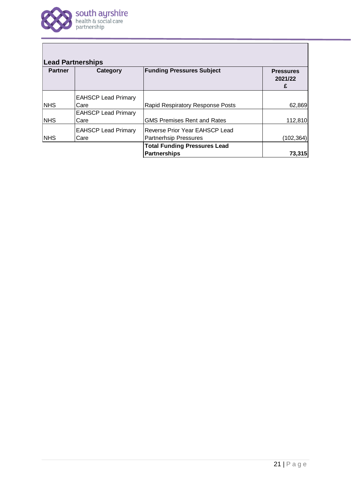

Г

|            | Category                           | <b>Funding Pressures Subject</b>                        | <b>Pressures</b><br>2021/22<br>£ |
|------------|------------------------------------|---------------------------------------------------------|----------------------------------|
|            | <b>EAHSCP Lead Primary</b>         |                                                         |                                  |
| <b>NHS</b> | Care                               | Rapid Respiratory Response Posts                        | 62,869                           |
|            | <b>EAHSCP Lead Primary</b>         | <b>GMS Premises Rent and Rates</b>                      |                                  |
| <b>NHS</b> | Care                               |                                                         | 112,810                          |
| <b>NHS</b> | <b>EAHSCP Lead Primary</b><br>Care | Reverse Prior Year EAHSCP Lead<br>Partnerhsip Pressures | (102, 364)                       |
|            |                                    | <b>Total Funding Pressures Lead</b>                     |                                  |
|            |                                    | <b>Partnerships</b>                                     | 73,315                           |
|            |                                    |                                                         |                                  |
|            |                                    |                                                         |                                  |

 $\overline{\phantom{0}}$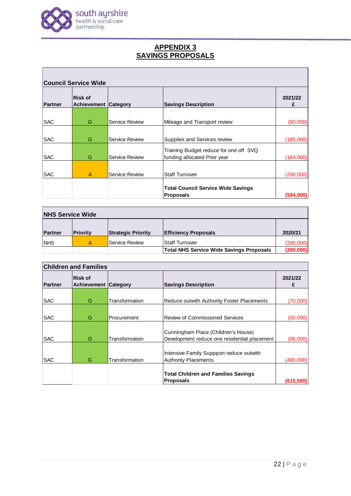

# **APPENDIX 3 SAVINGS PROPOSALS**

| <b>Council Service Wide</b> |                                               |                       |                                           |              |
|-----------------------------|-----------------------------------------------|-----------------------|-------------------------------------------|--------------|
| <b>Partner</b>              | <b>Risk of</b><br><b>Achievement Category</b> |                       | <b>Savings Description</b>                | 2021/22<br>£ |
|                             |                                               |                       |                                           |              |
| <b>SAC</b>                  | G                                             | Service Review        | Mileage and Transport review              | (50,000)     |
|                             |                                               |                       |                                           |              |
| <b>SAC</b>                  | G                                             | Service Review        | Supplies and Services review              | (180,000)    |
|                             |                                               |                       | Training Budget reduce for one off SVQ    |              |
| <b>SAC</b>                  | G                                             | Service Review        | funding allocated Prior year              | (164,000)    |
|                             |                                               |                       |                                           |              |
| <b>SAC</b>                  | $\overline{A}$                                | <b>Service Review</b> | Staff Turnover                            | (200,000)    |
|                             |                                               |                       |                                           |              |
|                             |                                               |                       | <b>Total Council Service Wide Savings</b> |              |
|                             |                                               |                       | Proposals                                 | (594,000)    |

| <b>NHS Service Wide</b> |          |                           |                                                 |           |  |
|-------------------------|----------|---------------------------|-------------------------------------------------|-----------|--|
| <b>Partner</b>          | Priority | <b>Strategic Priority</b> | <b>Efficiency Proposals</b>                     | 2020/21   |  |
| <b>NHS</b>              | А        | Service Review            | <b>Staff Turnover</b>                           | (200,000) |  |
|                         |          |                           | <b>Total NHS Service Wide Savings Proposals</b> | (200,000) |  |

| <b>Children and Families</b> |                                        |                |                                                                                     |              |  |
|------------------------------|----------------------------------------|----------------|-------------------------------------------------------------------------------------|--------------|--|
| Partner                      | Risk of<br><b>Achievement Category</b> |                | <b>Savings Description</b>                                                          | 2021/22<br>£ |  |
| <b>SAC</b>                   | G                                      | Transformation | Reduce outwith Authority Foster Placements                                          | (70,000)     |  |
| <b>SAC</b>                   | G                                      | Procurement    | Review of Commissioned Services                                                     | (50,000)     |  |
| <b>SAC</b>                   | G                                      | Transformation | Cunningham Place (Children's House)<br>Development reduce one residential placement | (95,000)     |  |
| <b>SAC</b>                   | G                                      | Transformation | Intensive Family Suppport reduce outwith<br>Authority Placements                    | (400,000)    |  |
|                              |                                        |                | <b>Total Children and Families Savings</b><br>Proposals                             | (615,000     |  |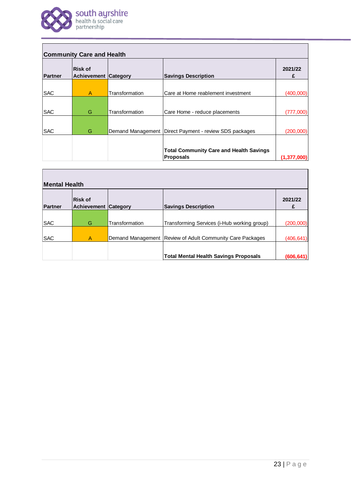

| <b>Community Care and Health</b> |                                               |                |                                                          |               |  |
|----------------------------------|-----------------------------------------------|----------------|----------------------------------------------------------|---------------|--|
| <b>Partner</b>                   | <b>Risk of</b><br><b>Achievement Category</b> |                | <b>Savings Description</b>                               | 2021/22<br>£  |  |
| <b>SAC</b>                       | A                                             | Transformation | Care at Home reablement investment                       | (400,000)     |  |
|                                  |                                               |                |                                                          |               |  |
| <b>SAC</b>                       | G                                             | Transformation | Care Home - reduce placements                            | (777,000)     |  |
|                                  |                                               |                |                                                          |               |  |
| <b>SAC</b>                       | G                                             |                | Demand Management   Direct Payment - review SDS packages | (200,000)     |  |
|                                  |                                               |                |                                                          |               |  |
|                                  |                                               |                | <b>Total Community Care and Health Savings</b>           |               |  |
|                                  |                                               |                | Proposals                                                | (1, 377, 000) |  |

| <b>Mental Health</b> |                                               |                |                                                             |              |  |
|----------------------|-----------------------------------------------|----------------|-------------------------------------------------------------|--------------|--|
| Partner              | <b>Risk of</b><br><b>Achievement Category</b> |                | <b>Savings Description</b>                                  | 2021/22<br>£ |  |
|                      |                                               |                |                                                             |              |  |
| <b>SAC</b>           | G                                             | Transformation | Transforming Services (i-Hub working group)                 | (200,000)    |  |
| <b>SAC</b>           | A                                             |                | Demand Management   Review of Adult Community Care Packages | (406, 641)   |  |
|                      |                                               |                | <b>Total Mental Health Savings Proposals</b>                | (606, 641)   |  |